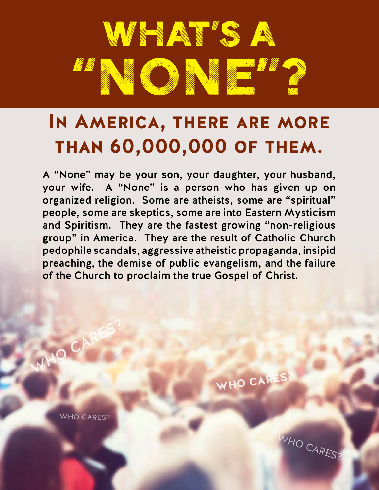

## **In America, there are more than 60,000,000 of them.**

A "None" may be your son, your daughter, your husband, your wife. A "None" is a person who has given up on organized religion. Some are atheists, some are "spiritual" people, some are skeptics, some are into Eastern Mysticism and Spiritism. They are the fastest growing "non-religious group" in America. They are the result of Catholic Church pedophile scandals, aggressive atheistic propaganda, insipid preaching, the demise of public evangelism, and the failure of the Church to proclaim the true Gospel of Christ.

WHO CARES?

WHO CARES?

**MHO CA** 

WHO CARES